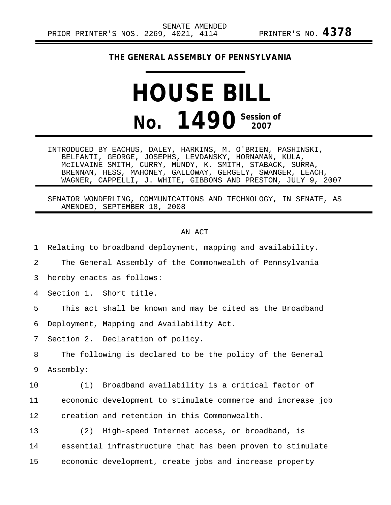## **THE GENERAL ASSEMBLY OF PENNSYLVANIA**

## **HOUSE BILL No. 1490** Session of

INTRODUCED BY EACHUS, DALEY, HARKINS, M. O'BRIEN, PASHINSKI, BELFANTI, GEORGE, JOSEPHS, LEVDANSKY, HORNAMAN, KULA, McILVAINE SMITH, CURRY, MUNDY, K. SMITH, STABACK, SURRA, BRENNAN, HESS, MAHONEY, GALLOWAY, GERGELY, SWANGER, LEACH, WAGNER, CAPPELLI, J. WHITE, GIBBONS AND PRESTON, JULY 9, 2007

SENATOR WONDERLING, COMMUNICATIONS AND TECHNOLOGY, IN SENATE, AS AMENDED, SEPTEMBER 18, 2008

## AN ACT

1 Relating to broadband deployment, mapping and availability. 2 The General Assembly of the Commonwealth of Pennsylvania 3 hereby enacts as follows: 4 Section 1. Short title. 5 This act shall be known and may be cited as the Broadband 6 Deployment, Mapping and Availability Act. 7 Section 2. Declaration of policy. 8 The following is declared to be the policy of the General 9 Assembly: 10 (1) Broadband availability is a critical factor of 11 economic development to stimulate commerce and increase job 12 creation and retention in this Commonwealth. 13 (2) High-speed Internet access, or broadband, is 14 essential infrastructure that has been proven to stimulate 15 economic development, create jobs and increase property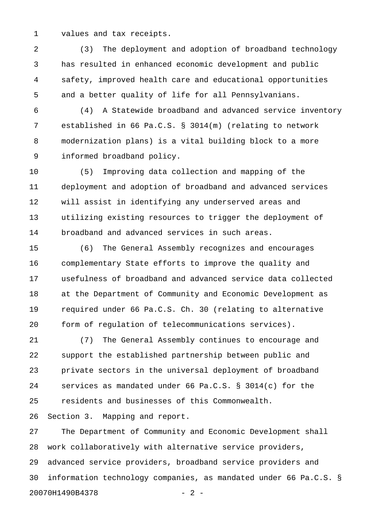1 values and tax receipts.

2 (3) The deployment and adoption of broadband technology 3 has resulted in enhanced economic development and public 4 safety, improved health care and educational opportunities 5 and a better quality of life for all Pennsylvanians.

6 (4) A Statewide broadband and advanced service inventory 7 established in 66 Pa.C.S. § 3014(m) (relating to network 8 modernization plans) is a vital building block to a more 9 informed broadband policy.

10 (5) Improving data collection and mapping of the 11 deployment and adoption of broadband and advanced services 12 will assist in identifying any underserved areas and 13 utilizing existing resources to trigger the deployment of 14 broadband and advanced services in such areas.

15 (6) The General Assembly recognizes and encourages 16 complementary State efforts to improve the quality and 17 usefulness of broadband and advanced service data collected 18 at the Department of Community and Economic Development as 19 required under 66 Pa.C.S. Ch. 30 (relating to alternative 20 form of regulation of telecommunications services).

21 (7) The General Assembly continues to encourage and 22 support the established partnership between public and 23 private sectors in the universal deployment of broadband 24 services as mandated under 66 Pa.C.S. § 3014(c) for the 25 residents and businesses of this Commonwealth.

26 Section 3. Mapping and report.

27 The Department of Community and Economic Development shall 28 work collaboratively with alternative service providers, 29 advanced service providers, broadband service providers and 30 information technology companies, as mandated under 66 Pa.C.S. § 20070H1490B4378 - 2 -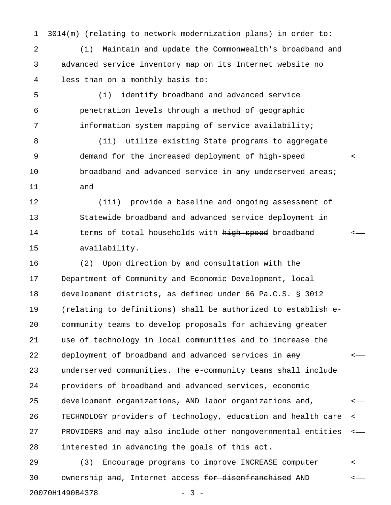1 3014(m) (relating to network modernization plans) in order to:

2 (1) Maintain and update the Commonwealth's broadband and 3 advanced service inventory map on its Internet website no 4 less than on a monthly basis to:

5 (i) identify broadband and advanced service 6 penetration levels through a method of geographic 7 information system mapping of service availability;

8 (ii) utilize existing State programs to aggregate 9 3 9 9 demand for the increased deployment of <del>high speed</del> the state 10 broadband and advanced service in any underserved areas; 11 and

12 (iii) provide a baseline and ongoing assessment of 13 Statewide broadband and advanced service deployment in 14 terms of total households with high speed broadband <-15 availability.

16 (2) Upon direction by and consultation with the 17 Department of Community and Economic Development, local 18 development districts, as defined under 66 Pa.C.S. § 3012 19 (relating to definitions) shall be authorized to establish e-20 community teams to develop proposals for achieving greater 21 use of technology in local communities and to increase the 22 deployment of broadband and advanced services in  $\frac{any}{x}$ 23 underserved communities. The e-community teams shall include 24 providers of broadband and advanced services, economic 25 development <del>organizations,</del> AND labor organizations  $\frac{and}{b}$ , <-26 TECHNOLOGY providers <del>of technology</del>, education and health care <-27 PROVIDERS and may also include other nongovernmental entities < 28 interested in advancing the goals of this act.

29 (3) Encourage programs to improve INCREASE computer 30 ownership <del>and</del>, Internet access <del>for disenfranchised</del> AND <-20070H1490B4378 - 3 -